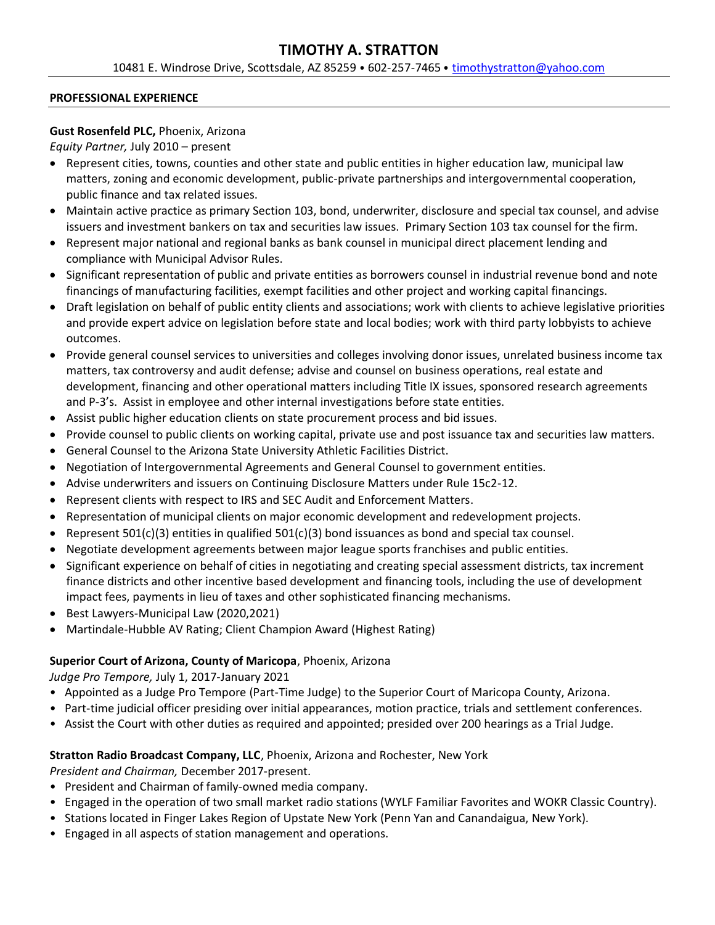# **TIMOTHY A. STRATTON**

10481 E. Windrose Drive, Scottsdale, AZ 85259 ⦁ 602-257-7465 ⦁ [timothystratton@yahoo.com](mailto:timothystratton@yahoo.com)

#### **PROFESSIONAL EXPERIENCE**

#### **Gust Rosenfeld PLC,** Phoenix, Arizona

*Equity Partner,* July 2010 – present

- Represent cities, towns, counties and other state and public entities in higher education law, municipal law matters, zoning and economic development, public-private partnerships and intergovernmental cooperation, public finance and tax related issues.
- Maintain active practice as primary Section 103, bond, underwriter, disclosure and special tax counsel, and advise issuers and investment bankers on tax and securities law issues. Primary Section 103 tax counsel for the firm.
- Represent major national and regional banks as bank counsel in municipal direct placement lending and compliance with Municipal Advisor Rules.
- Significant representation of public and private entities as borrowers counsel in industrial revenue bond and note financings of manufacturing facilities, exempt facilities and other project and working capital financings.
- Draft legislation on behalf of public entity clients and associations; work with clients to achieve legislative priorities and provide expert advice on legislation before state and local bodies; work with third party lobbyists to achieve outcomes.
- Provide general counsel services to universities and colleges involving donor issues, unrelated business income tax matters, tax controversy and audit defense; advise and counsel on business operations, real estate and development, financing and other operational matters including Title IX issues, sponsored research agreements and P-3's. Assist in employee and other internal investigations before state entities.
- Assist public higher education clients on state procurement process and bid issues.
- Provide counsel to public clients on working capital, private use and post issuance tax and securities law matters.
- General Counsel to the Arizona State University Athletic Facilities District.
- Negotiation of Intergovernmental Agreements and General Counsel to government entities.
- Advise underwriters and issuers on Continuing Disclosure Matters under Rule 15c2-12.
- Represent clients with respect to IRS and SEC Audit and Enforcement Matters.
- Representation of municipal clients on major economic development and redevelopment projects.
- Represent 501(c)(3) entities in qualified 501(c)(3) bond issuances as bond and special tax counsel.
- Negotiate development agreements between major league sports franchises and public entities.
- Significant experience on behalf of cities in negotiating and creating special assessment districts, tax increment finance districts and other incentive based development and financing tools, including the use of development impact fees, payments in lieu of taxes and other sophisticated financing mechanisms.
- Best Lawyers-Municipal Law (2020,2021)
- Martindale-Hubble AV Rating; Client Champion Award (Highest Rating)

## **Superior Court of Arizona, County of Maricopa**, Phoenix, Arizona

*Judge Pro Tempore,* July 1, 2017-January 2021

- Appointed as a Judge Pro Tempore (Part-Time Judge) to the Superior Court of Maricopa County, Arizona.
- Part-time judicial officer presiding over initial appearances, motion practice, trials and settlement conferences.
- Assist the Court with other duties as required and appointed; presided over 200 hearings as a Trial Judge.

## **Stratton Radio Broadcast Company, LLC**, Phoenix, Arizona and Rochester, New York

*President and Chairman,* December 2017-present.

- President and Chairman of family-owned media company.
- Engaged in the operation of two small market radio stations (WYLF Familiar Favorites and WOKR Classic Country).
- Stations located in Finger Lakes Region of Upstate New York (Penn Yan and Canandaigua, New York).
- Engaged in all aspects of station management and operations.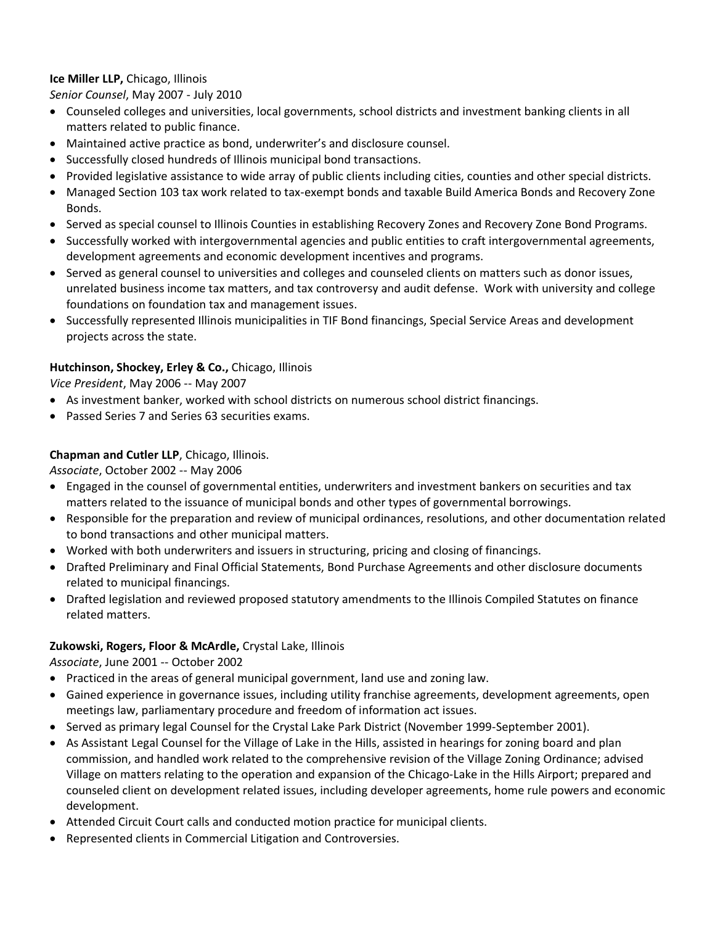## **Ice Miller LLP,** Chicago, Illinois

*Senior Counsel*, May 2007 - July 2010

- Counseled colleges and universities, local governments, school districts and investment banking clients in all matters related to public finance.
- Maintained active practice as bond, underwriter's and disclosure counsel.
- Successfully closed hundreds of Illinois municipal bond transactions.
- Provided legislative assistance to wide array of public clients including cities, counties and other special districts.
- Managed Section 103 tax work related to tax-exempt bonds and taxable Build America Bonds and Recovery Zone Bonds.
- Served as special counsel to Illinois Counties in establishing Recovery Zones and Recovery Zone Bond Programs.
- Successfully worked with intergovernmental agencies and public entities to craft intergovernmental agreements, development agreements and economic development incentives and programs.
- Served as general counsel to universities and colleges and counseled clients on matters such as donor issues, unrelated business income tax matters, and tax controversy and audit defense. Work with university and college foundations on foundation tax and management issues.
- Successfully represented Illinois municipalities in TIF Bond financings, Special Service Areas and development projects across the state.

## **Hutchinson, Shockey, Erley & Co.,** Chicago, Illinois

*Vice President*, May 2006 -- May 2007

- As investment banker, worked with school districts on numerous school district financings.
- Passed Series 7 and Series 63 securities exams.

## **Chapman and Cutler LLP**, Chicago, Illinois.

*Associate*, October 2002 -- May 2006

- Engaged in the counsel of governmental entities, underwriters and investment bankers on securities and tax matters related to the issuance of municipal bonds and other types of governmental borrowings.
- Responsible for the preparation and review of municipal ordinances, resolutions, and other documentation related to bond transactions and other municipal matters.
- Worked with both underwriters and issuers in structuring, pricing and closing of financings.
- Drafted Preliminary and Final Official Statements, Bond Purchase Agreements and other disclosure documents related to municipal financings.
- Drafted legislation and reviewed proposed statutory amendments to the Illinois Compiled Statutes on finance related matters.

## **Zukowski, Rogers, Floor & McArdle,** Crystal Lake, Illinois

*Associate*, June 2001 -- October 2002

- Practiced in the areas of general municipal government, land use and zoning law.
- Gained experience in governance issues, including utility franchise agreements, development agreements, open meetings law, parliamentary procedure and freedom of information act issues.
- Served as primary legal Counsel for the Crystal Lake Park District (November 1999-September 2001).
- As Assistant Legal Counsel for the Village of Lake in the Hills, assisted in hearings for zoning board and plan commission, and handled work related to the comprehensive revision of the Village Zoning Ordinance; advised Village on matters relating to the operation and expansion of the Chicago-Lake in the Hills Airport; prepared and counseled client on development related issues, including developer agreements, home rule powers and economic development.
- Attended Circuit Court calls and conducted motion practice for municipal clients.
- Represented clients in Commercial Litigation and Controversies.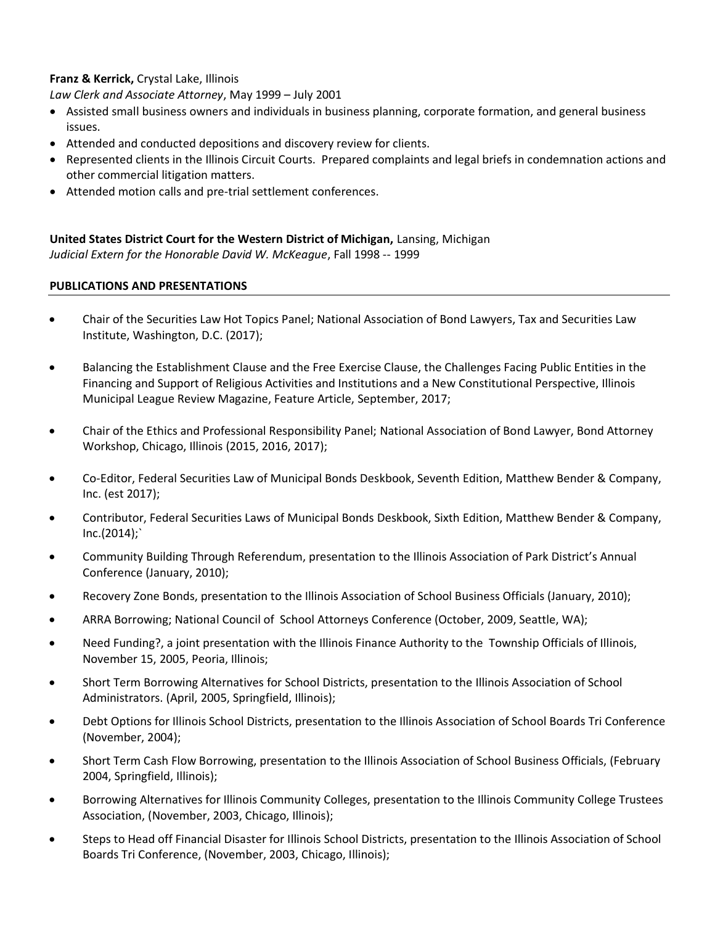## **Franz & Kerrick,** Crystal Lake, Illinois

*Law Clerk and Associate Attorney*, May 1999 – July 2001

- Assisted small business owners and individuals in business planning, corporate formation, and general business issues.
- Attended and conducted depositions and discovery review for clients.
- Represented clients in the Illinois Circuit Courts. Prepared complaints and legal briefs in condemnation actions and other commercial litigation matters.
- Attended motion calls and pre-trial settlement conferences.

#### **United States District Court for the Western District of Michigan,** Lansing, Michigan *Judicial Extern for the Honorable David W. McKeague*, Fall 1998 -- 1999

#### **PUBLICATIONS AND PRESENTATIONS**

- Chair of the Securities Law Hot Topics Panel; National Association of Bond Lawyers, Tax and Securities Law Institute, Washington, D.C. (2017);
- Balancing the Establishment Clause and the Free Exercise Clause, the Challenges Facing Public Entities in the Financing and Support of Religious Activities and Institutions and a New Constitutional Perspective, Illinois Municipal League Review Magazine, Feature Article, September, 2017;
- Chair of the Ethics and Professional Responsibility Panel; National Association of Bond Lawyer, Bond Attorney Workshop, Chicago, Illinois (2015, 2016, 2017);
- Co-Editor, Federal Securities Law of Municipal Bonds Deskbook, Seventh Edition, Matthew Bender & Company, Inc. (est 2017);
- Contributor, Federal Securities Laws of Municipal Bonds Deskbook, Sixth Edition, Matthew Bender & Company,  $Inc.(2014)$ ;
- Community Building Through Referendum, presentation to the Illinois Association of Park District's Annual Conference (January, 2010);
- Recovery Zone Bonds, presentation to the Illinois Association of School Business Officials (January, 2010);
- ARRA Borrowing; National Council of School Attorneys Conference (October, 2009, Seattle, WA);
- Need Funding?, a joint presentation with the Illinois Finance Authority to the Township Officials of Illinois, November 15, 2005, Peoria, Illinois;
- Short Term Borrowing Alternatives for School Districts, presentation to the Illinois Association of School Administrators. (April, 2005, Springfield, Illinois);
- Debt Options for Illinois School Districts, presentation to the Illinois Association of School Boards Tri Conference (November, 2004);
- Short Term Cash Flow Borrowing, presentation to the Illinois Association of School Business Officials, (February 2004, Springfield, Illinois);
- Borrowing Alternatives for Illinois Community Colleges, presentation to the Illinois Community College Trustees Association, (November, 2003, Chicago, Illinois);
- Steps to Head off Financial Disaster for Illinois School Districts, presentation to the Illinois Association of School Boards Tri Conference, (November, 2003, Chicago, Illinois);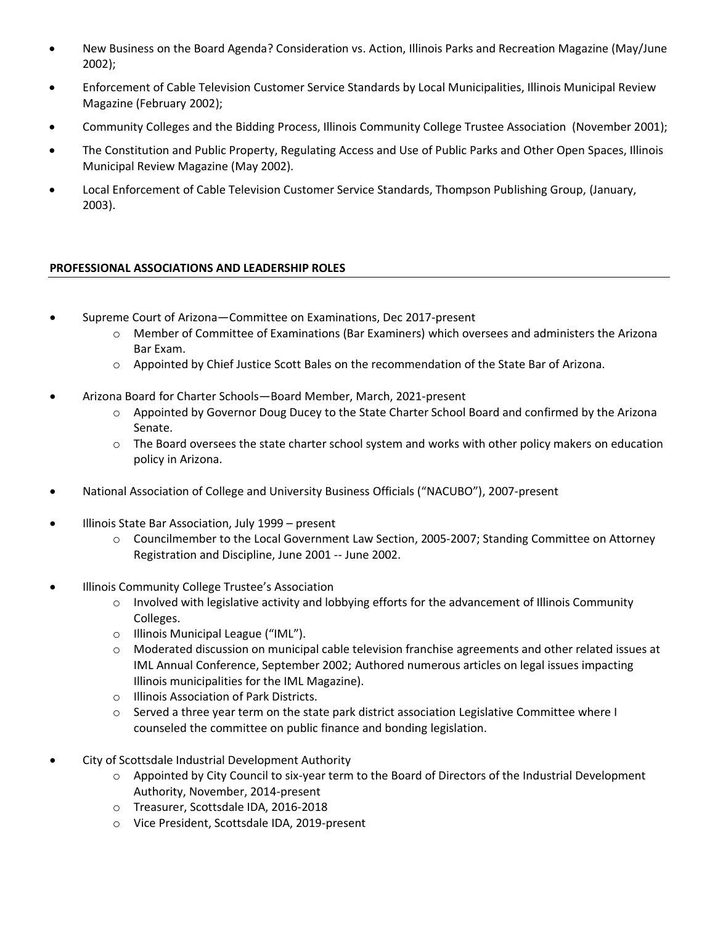- New Business on the Board Agenda? Consideration vs. Action, Illinois Parks and Recreation Magazine (May/June 2002);
- Enforcement of Cable Television Customer Service Standards by Local Municipalities, Illinois Municipal Review Magazine (February 2002);
- Community Colleges and the Bidding Process, Illinois Community College Trustee Association (November 2001);
- The Constitution and Public Property, Regulating Access and Use of Public Parks and Other Open Spaces, Illinois Municipal Review Magazine (May 2002).
- Local Enforcement of Cable Television Customer Service Standards, Thompson Publishing Group, (January, 2003).

#### **PROFESSIONAL ASSOCIATIONS AND LEADERSHIP ROLES**

- Supreme Court of Arizona—Committee on Examinations, Dec 2017-present
	- o Member of Committee of Examinations (Bar Examiners) which oversees and administers the Arizona Bar Exam.
	- o Appointed by Chief Justice Scott Bales on the recommendation of the State Bar of Arizona.
- Arizona Board for Charter Schools—Board Member, March, 2021-present
	- o Appointed by Governor Doug Ducey to the State Charter School Board and confirmed by the Arizona Senate.
	- $\circ$  The Board oversees the state charter school system and works with other policy makers on education policy in Arizona.
- National Association of College and University Business Officials ("NACUBO"), 2007-present
- Illinois State Bar Association, July 1999 present
	- o Councilmember to the Local Government Law Section, 2005-2007; Standing Committee on Attorney Registration and Discipline, June 2001 -- June 2002.
- Illinois Community College Trustee's Association
	- o Involved with legislative activity and lobbying efforts for the advancement of Illinois Community Colleges.
	- o Illinois Municipal League ("IML").
	- o Moderated discussion on municipal cable television franchise agreements and other related issues at IML Annual Conference, September 2002; Authored numerous articles on legal issues impacting Illinois municipalities for the IML Magazine).
	- o Illinois Association of Park Districts.
	- o Served a three year term on the state park district association Legislative Committee where I counseled the committee on public finance and bonding legislation.
- City of Scottsdale Industrial Development Authority
	- o Appointed by City Council to six-year term to the Board of Directors of the Industrial Development Authority, November, 2014-present
	- o Treasurer, Scottsdale IDA, 2016-2018
	- o Vice President, Scottsdale IDA, 2019-present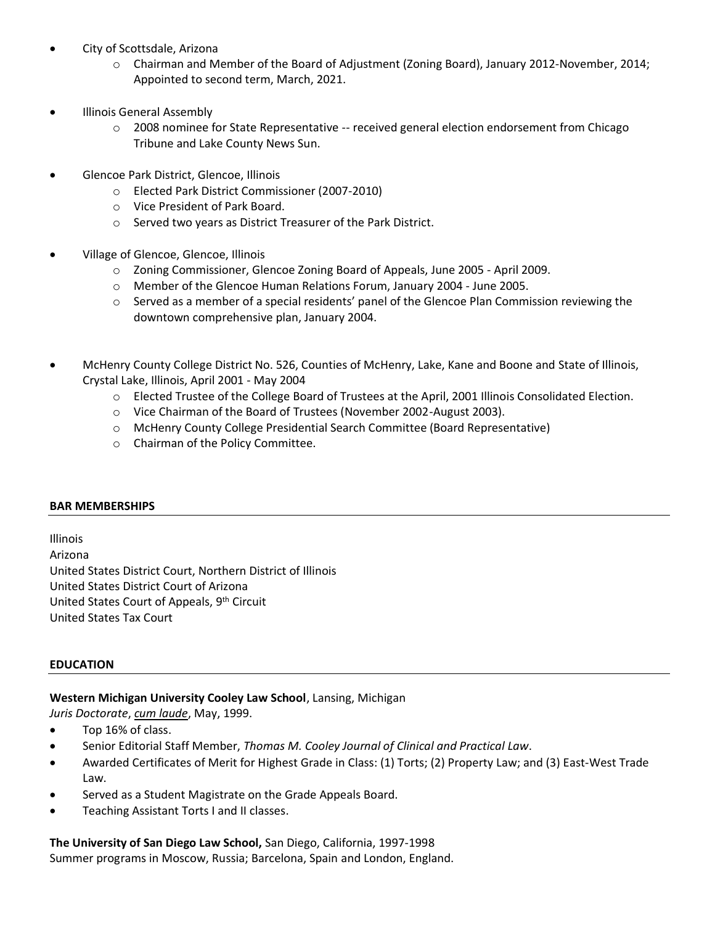- City of Scottsdale, Arizona
	- o Chairman and Member of the Board of Adjustment (Zoning Board), January 2012-November, 2014; Appointed to second term, March, 2021.
- Illinois General Assembly
	- o 2008 nominee for State Representative -- received general election endorsement from Chicago Tribune and Lake County News Sun.
- Glencoe Park District, Glencoe, Illinois
	- o Elected Park District Commissioner (2007-2010)
	- o Vice President of Park Board.
	- o Served two years as District Treasurer of the Park District.
- Village of Glencoe, Glencoe, Illinois
	- o Zoning Commissioner, Glencoe Zoning Board of Appeals, June 2005 April 2009.
	- o Member of the Glencoe Human Relations Forum, January 2004 June 2005.
	- o Served as a member of a special residents' panel of the Glencoe Plan Commission reviewing the downtown comprehensive plan, January 2004.
- McHenry County College District No. 526, Counties of McHenry, Lake, Kane and Boone and State of Illinois, Crystal Lake, Illinois, April 2001 - May 2004
	- o Elected Trustee of the College Board of Trustees at the April, 2001 Illinois Consolidated Election.
	- o Vice Chairman of the Board of Trustees (November 2002-August 2003).
	- o McHenry County College Presidential Search Committee (Board Representative)
	- o Chairman of the Policy Committee.

## **BAR MEMBERSHIPS**

Illinois Arizona United States District Court, Northern District of Illinois United States District Court of Arizona United States Court of Appeals, 9<sup>th</sup> Circuit United States Tax Court

## **EDUCATION**

## **Western Michigan University Cooley Law School**, Lansing, Michigan

*Juris Doctorate*, *cum laude*, May, 1999.

- Top 16% of class.
- Senior Editorial Staff Member, *Thomas M. Cooley Journal of Clinical and Practical Law*.
- Awarded Certificates of Merit for Highest Grade in Class: (1) Torts; (2) Property Law; and (3) East-West Trade Law.
- Served as a Student Magistrate on the Grade Appeals Board.
- Teaching Assistant Torts I and II classes.

**The University of San Diego Law School,** San Diego, California, 1997-1998 Summer programs in Moscow, Russia; Barcelona, Spain and London, England.